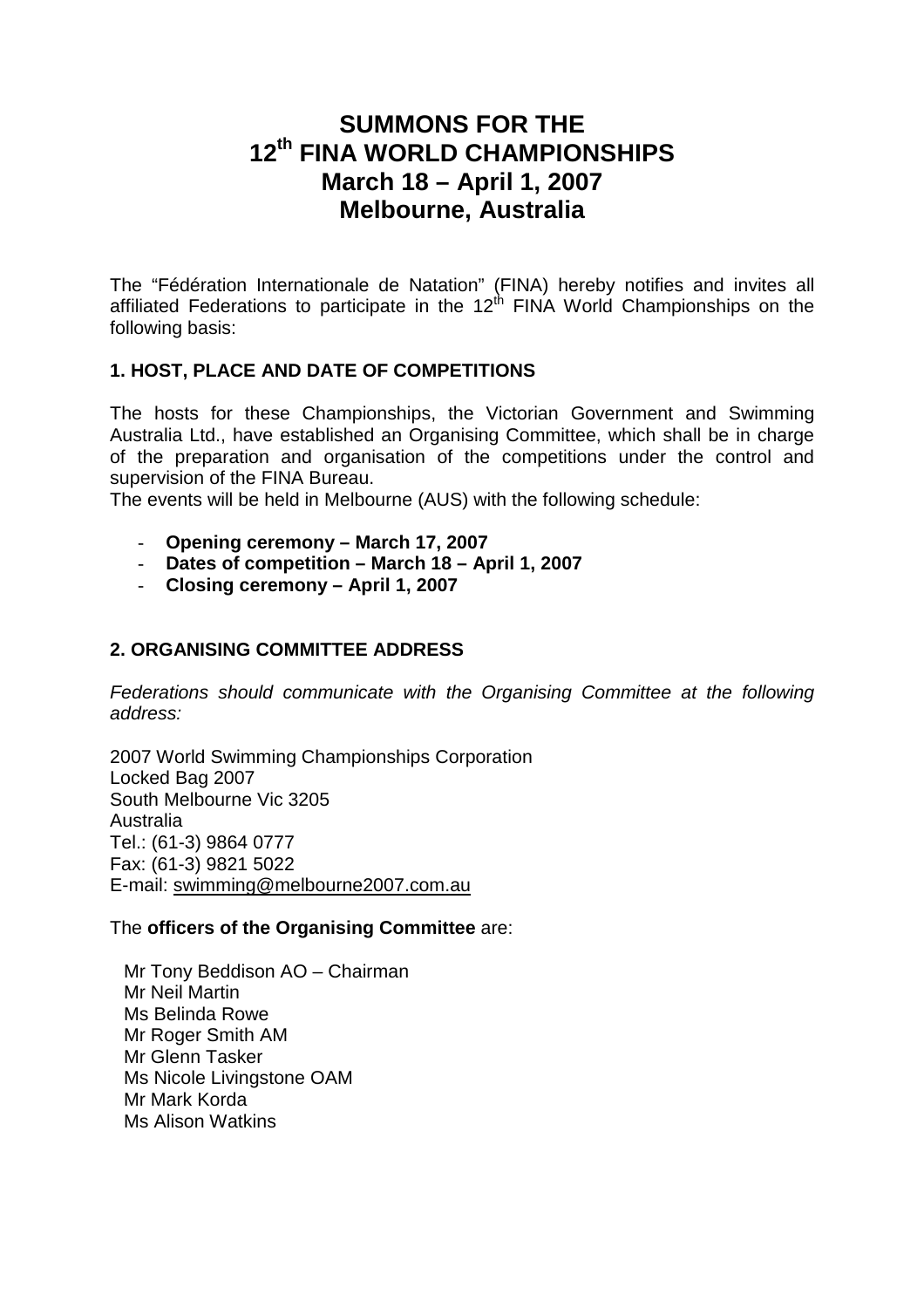# **SUMMONS FOR THE 12th FINA WORLD CHAMPIONSHIPS March 18 – April 1, 2007 Melbourne, Australia**

The "Fédération Internationale de Natation" (FINA) hereby notifies and invites all affiliated Federations to participate in the  $12<sup>th</sup>$  FINA World Championships on the following basis:

# **1. HOST, PLACE AND DATE OF COMPETITIONS**

The hosts for these Championships, the Victorian Government and Swimming Australia Ltd., have established an Organising Committee, which shall be in charge of the preparation and organisation of the competitions under the control and supervision of the FINA Bureau.

The events will be held in Melbourne (AUS) with the following schedule:

- **Opening ceremony March 17, 2007**
- **Dates of competition March 18 April 1, 2007**
- **Closing ceremony April 1, 2007**

# **2. ORGANISING COMMITTEE ADDRESS**

Federations should communicate with the Organising Committee at the following address:

2007 World Swimming Championships Corporation Locked Bag 2007 South Melbourne Vic 3205 Australia Tel.: (61-3) 9864 0777 Fax: (61-3) 9821 5022 E-mail: swimming@melbourne2007.com.au

# The **officers of the Organising Committee** are:

Mr Tony Beddison AO – Chairman Mr Neil Martin Ms Belinda Rowe Mr Roger Smith AM Mr Glenn Tasker Ms Nicole Livingstone OAM Mr Mark Korda Ms Alison Watkins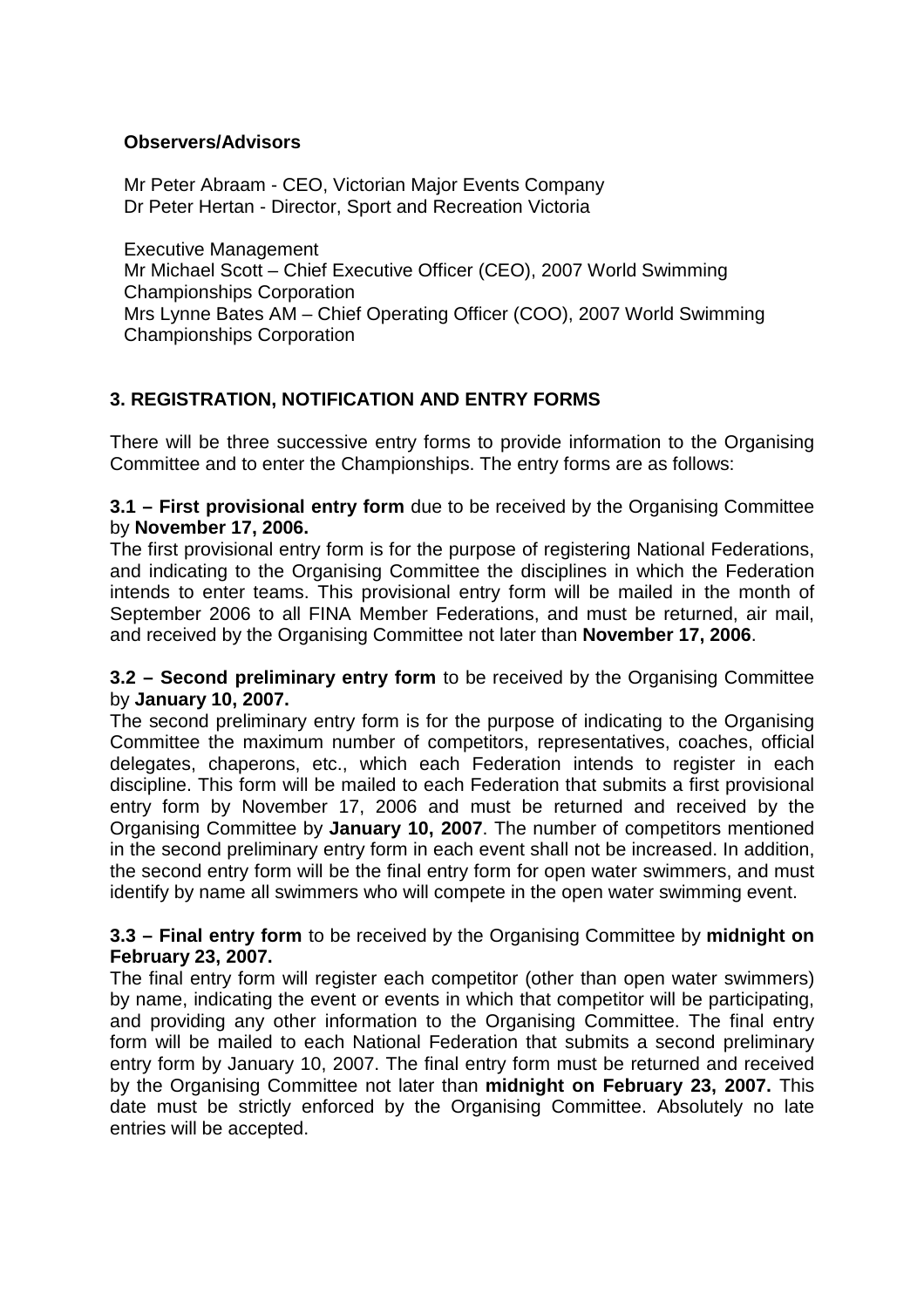# **Observers/Advisors**

Mr Peter Abraam - CEO, Victorian Major Events Company Dr Peter Hertan - Director, Sport and Recreation Victoria

Executive Management Mr Michael Scott – Chief Executive Officer (CEO), 2007 World Swimming Championships Corporation Mrs Lynne Bates AM – Chief Operating Officer (COO), 2007 World Swimming Championships Corporation

# **3. REGISTRATION, NOTIFICATION AND ENTRY FORMS**

There will be three successive entry forms to provide information to the Organising Committee and to enter the Championships. The entry forms are as follows:

**3.1 – First provisional entry form** due to be received by the Organising Committee by **November 17, 2006.** 

The first provisional entry form is for the purpose of registering National Federations, and indicating to the Organising Committee the disciplines in which the Federation intends to enter teams. This provisional entry form will be mailed in the month of September 2006 to all FINA Member Federations, and must be returned, air mail, and received by the Organising Committee not later than **November 17, 2006**.

**3.2 – Second preliminary entry form** to be received by the Organising Committee by **January 10, 2007.** 

The second preliminary entry form is for the purpose of indicating to the Organising Committee the maximum number of competitors, representatives, coaches, official delegates, chaperons, etc., which each Federation intends to register in each discipline. This form will be mailed to each Federation that submits a first provisional entry form by November 17, 2006 and must be returned and received by the Organising Committee by **January 10, 2007**. The number of competitors mentioned in the second preliminary entry form in each event shall not be increased. In addition, the second entry form will be the final entry form for open water swimmers, and must identify by name all swimmers who will compete in the open water swimming event.

# **3.3 – Final entry form** to be received by the Organising Committee by **midnight on February 23, 2007.**

The final entry form will register each competitor (other than open water swimmers) by name, indicating the event or events in which that competitor will be participating, and providing any other information to the Organising Committee. The final entry form will be mailed to each National Federation that submits a second preliminary entry form by January 10, 2007. The final entry form must be returned and received by the Organising Committee not later than **midnight on February 23, 2007.** This date must be strictly enforced by the Organising Committee. Absolutely no late entries will be accepted.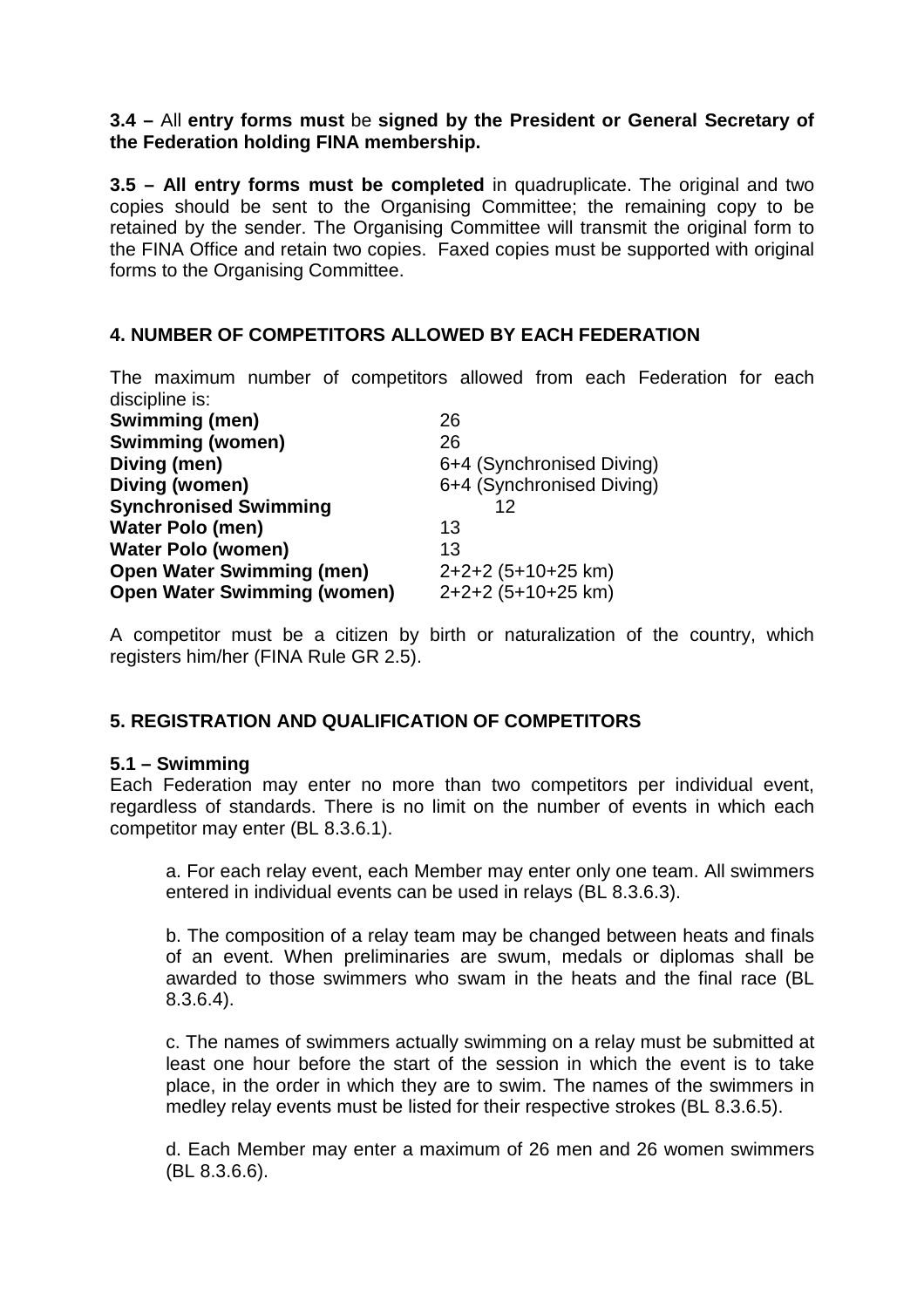# **3.4 –** All **entry forms must** be **signed by the President or General Secretary of the Federation holding FINA membership.**

**3.5 – All entry forms must be completed** in quadruplicate. The original and two copies should be sent to the Organising Committee; the remaining copy to be retained by the sender. The Organising Committee will transmit the original form to the FINA Office and retain two copies. Faxed copies must be supported with original forms to the Organising Committee.

# **4. NUMBER OF COMPETITORS ALLOWED BY EACH FEDERATION**

The maximum number of competitors allowed from each Federation for each discipline is:

| <b>Swimming (men)</b>              | 26                        |
|------------------------------------|---------------------------|
| <b>Swimming (women)</b>            | 26                        |
| Diving (men)                       | 6+4 (Synchronised Diving) |
| Diving (women)                     | 6+4 (Synchronised Diving) |
| <b>Synchronised Swimming</b>       | 12                        |
| <b>Water Polo (men)</b>            | 13                        |
| <b>Water Polo (women)</b>          | 13                        |
| <b>Open Water Swimming (men)</b>   | 2+2+2 (5+10+25 km)        |
| <b>Open Water Swimming (women)</b> | 2+2+2 (5+10+25 km)        |

A competitor must be a citizen by birth or naturalization of the country, which registers him/her (FINA Rule GR 2.5).

# **5. REGISTRATION AND QUALIFICATION OF COMPETITORS**

# **5.1 – Swimming**

Each Federation may enter no more than two competitors per individual event, regardless of standards. There is no limit on the number of events in which each competitor may enter (BL 8.3.6.1).

a. For each relay event, each Member may enter only one team. All swimmers entered in individual events can be used in relays (BL 8.3.6.3).

b. The composition of a relay team may be changed between heats and finals of an event. When preliminaries are swum, medals or diplomas shall be awarded to those swimmers who swam in the heats and the final race (BL 8.3.6.4).

c. The names of swimmers actually swimming on a relay must be submitted at least one hour before the start of the session in which the event is to take place, in the order in which they are to swim. The names of the swimmers in medley relay events must be listed for their respective strokes (BL 8.3.6.5).

d. Each Member may enter a maximum of 26 men and 26 women swimmers (BL 8.3.6.6).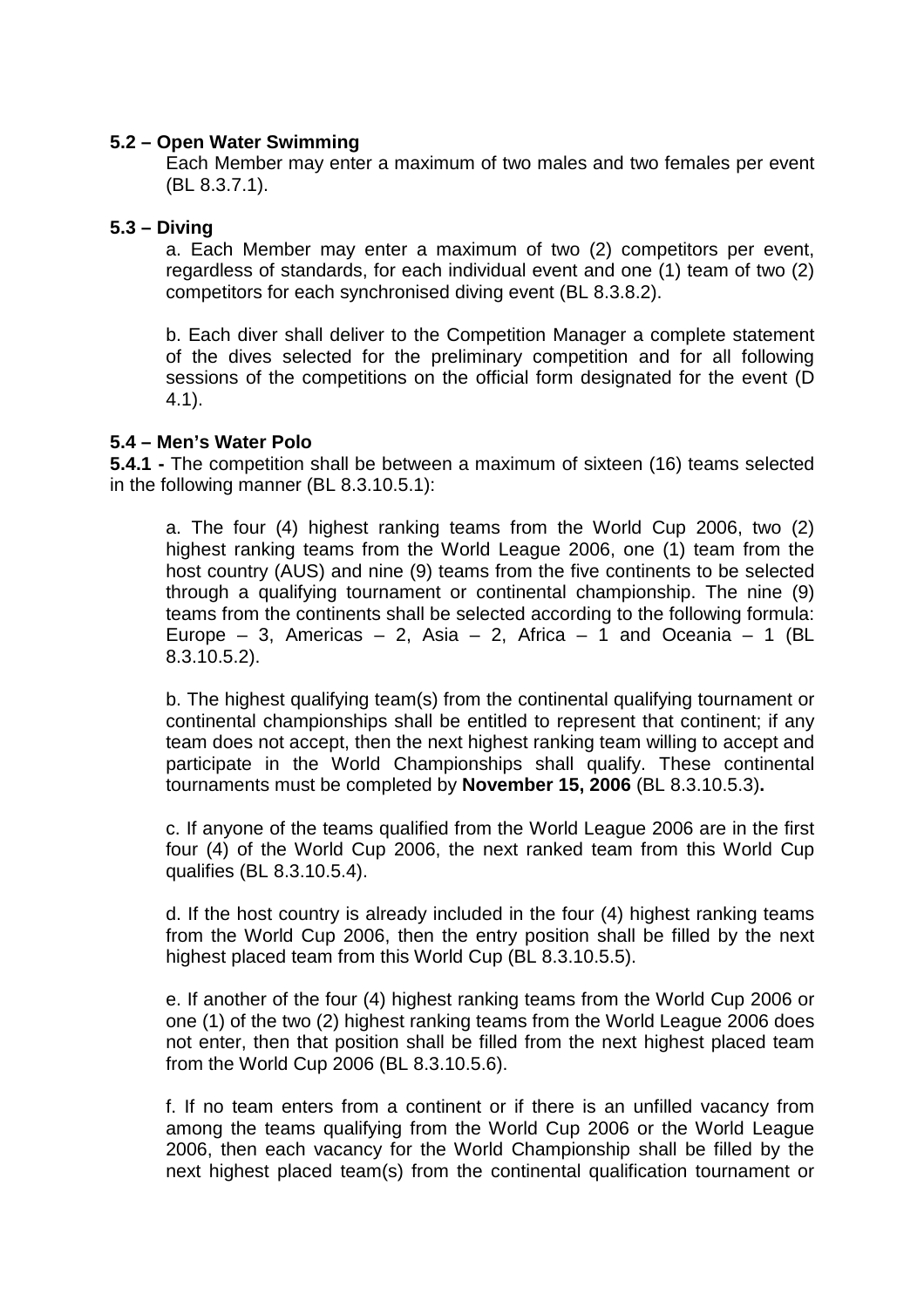# **5.2 – Open Water Swimming**

Each Member may enter a maximum of two males and two females per event (BL 8.3.7.1).

# **5.3 – Diving**

a. Each Member may enter a maximum of two (2) competitors per event, regardless of standards, for each individual event and one (1) team of two (2) competitors for each synchronised diving event (BL 8.3.8.2).

b. Each diver shall deliver to the Competition Manager a complete statement of the dives selected for the preliminary competition and for all following sessions of the competitions on the official form designated for the event (D 4.1).

#### **5.4 – Men's Water Polo**

**5.4.1 -** The competition shall be between a maximum of sixteen (16) teams selected in the following manner (BL 8.3.10.5.1):

a. The four (4) highest ranking teams from the World Cup 2006, two (2) highest ranking teams from the World League 2006, one (1) team from the host country (AUS) and nine (9) teams from the five continents to be selected through a qualifying tournament or continental championship. The nine (9) teams from the continents shall be selected according to the following formula: Europe – 3, Americas – 2, Asia – 2, Africa – 1 and Oceania – 1 (BL 8.3.10.5.2).

b. The highest qualifying team(s) from the continental qualifying tournament or continental championships shall be entitled to represent that continent; if any team does not accept, then the next highest ranking team willing to accept and participate in the World Championships shall qualify. These continental tournaments must be completed by **November 15, 2006** (BL 8.3.10.5.3)**.** 

c. If anyone of the teams qualified from the World League 2006 are in the first four (4) of the World Cup 2006, the next ranked team from this World Cup qualifies (BL 8.3.10.5.4).

d. If the host country is already included in the four (4) highest ranking teams from the World Cup 2006, then the entry position shall be filled by the next highest placed team from this World Cup (BL 8.3.10.5.5).

e. If another of the four (4) highest ranking teams from the World Cup 2006 or one (1) of the two (2) highest ranking teams from the World League 2006 does not enter, then that position shall be filled from the next highest placed team from the World Cup 2006 (BL 8.3.10.5.6).

f. If no team enters from a continent or if there is an unfilled vacancy from among the teams qualifying from the World Cup 2006 or the World League 2006, then each vacancy for the World Championship shall be filled by the next highest placed team(s) from the continental qualification tournament or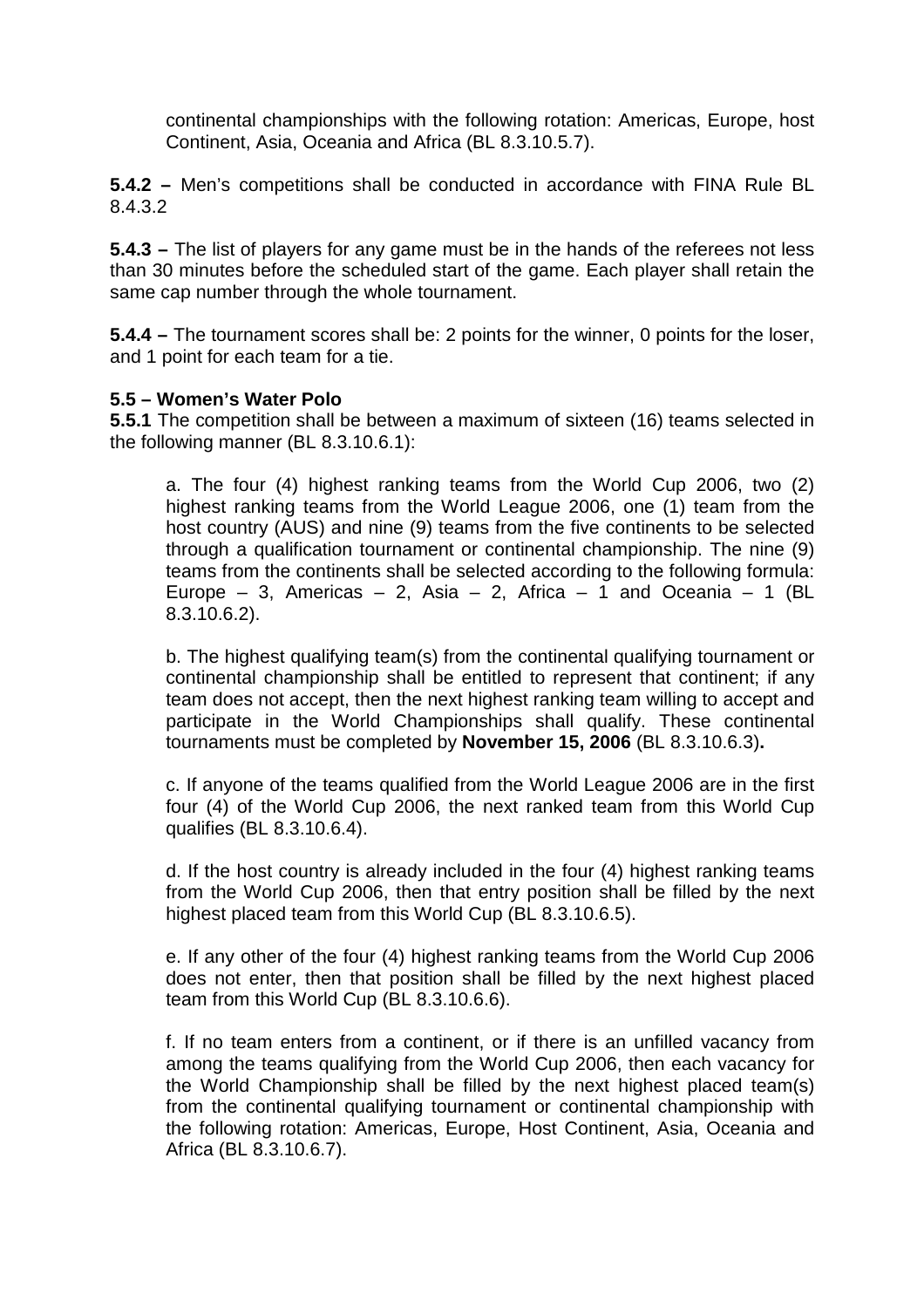continental championships with the following rotation: Americas, Europe, host Continent, Asia, Oceania and Africa (BL 8.3.10.5.7).

**5.4.2 –** Men's competitions shall be conducted in accordance with FINA Rule BL 8.4.3.2

**5.4.3 –** The list of players for any game must be in the hands of the referees not less than 30 minutes before the scheduled start of the game. Each player shall retain the same cap number through the whole tournament.

**5.4.4 –** The tournament scores shall be: 2 points for the winner, 0 points for the loser, and 1 point for each team for a tie.

# **5.5 – Women's Water Polo**

**5.5.1** The competition shall be between a maximum of sixteen (16) teams selected in the following manner (BL 8.3.10.6.1):

a. The four (4) highest ranking teams from the World Cup 2006, two (2) highest ranking teams from the World League 2006, one (1) team from the host country (AUS) and nine (9) teams from the five continents to be selected through a qualification tournament or continental championship. The nine (9) teams from the continents shall be selected according to the following formula: Europe – 3, Americas – 2, Asia – 2, Africa – 1 and Oceania – 1 (BL 8.3.10.6.2).

b. The highest qualifying team(s) from the continental qualifying tournament or continental championship shall be entitled to represent that continent; if any team does not accept, then the next highest ranking team willing to accept and participate in the World Championships shall qualify. These continental tournaments must be completed by **November 15, 2006** (BL 8.3.10.6.3)**.** 

c. If anyone of the teams qualified from the World League 2006 are in the first four (4) of the World Cup 2006, the next ranked team from this World Cup qualifies (BL 8.3.10.6.4).

d. If the host country is already included in the four (4) highest ranking teams from the World Cup 2006, then that entry position shall be filled by the next highest placed team from this World Cup (BL 8.3.10.6.5).

e. If any other of the four (4) highest ranking teams from the World Cup 2006 does not enter, then that position shall be filled by the next highest placed team from this World Cup (BL 8.3.10.6.6).

f. If no team enters from a continent, or if there is an unfilled vacancy from among the teams qualifying from the World Cup 2006, then each vacancy for the World Championship shall be filled by the next highest placed team(s) from the continental qualifying tournament or continental championship with the following rotation: Americas, Europe, Host Continent, Asia, Oceania and Africa (BL 8.3.10.6.7).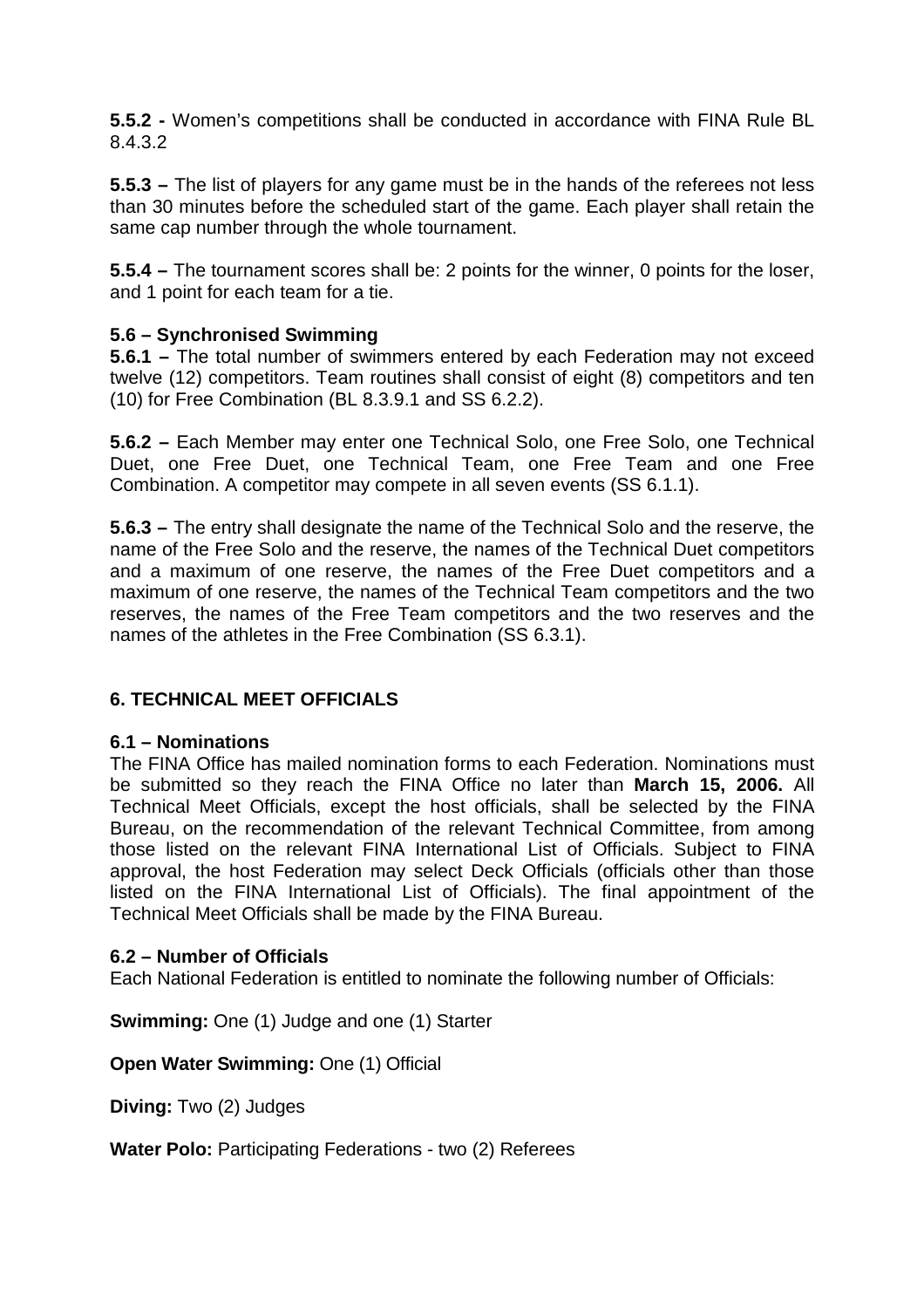**5.5.2 -** Women's competitions shall be conducted in accordance with FINA Rule BL 8.4.3.2

**5.5.3 –** The list of players for any game must be in the hands of the referees not less than 30 minutes before the scheduled start of the game. Each player shall retain the same cap number through the whole tournament.

**5.5.4 –** The tournament scores shall be: 2 points for the winner, 0 points for the loser, and 1 point for each team for a tie.

# **5.6 – Synchronised Swimming**

**5.6.1 –** The total number of swimmers entered by each Federation may not exceed twelve (12) competitors. Team routines shall consist of eight (8) competitors and ten (10) for Free Combination (BL 8.3.9.1 and SS 6.2.2).

**5.6.2 –** Each Member may enter one Technical Solo, one Free Solo, one Technical Duet, one Free Duet, one Technical Team, one Free Team and one Free Combination. A competitor may compete in all seven events (SS 6.1.1).

**5.6.3 –** The entry shall designate the name of the Technical Solo and the reserve, the name of the Free Solo and the reserve, the names of the Technical Duet competitors and a maximum of one reserve, the names of the Free Duet competitors and a maximum of one reserve, the names of the Technical Team competitors and the two reserves, the names of the Free Team competitors and the two reserves and the names of the athletes in the Free Combination (SS 6.3.1).

# **6. TECHNICAL MEET OFFICIALS**

# **6.1 – Nominations**

The FINA Office has mailed nomination forms to each Federation. Nominations must be submitted so they reach the FINA Office no later than **March 15, 2006.** All Technical Meet Officials, except the host officials, shall be selected by the FINA Bureau, on the recommendation of the relevant Technical Committee, from among those listed on the relevant FINA International List of Officials. Subject to FINA approval, the host Federation may select Deck Officials (officials other than those listed on the FINA International List of Officials). The final appointment of the Technical Meet Officials shall be made by the FINA Bureau.

# **6.2 – Number of Officials**

Each National Federation is entitled to nominate the following number of Officials:

**Swimming:** One (1) Judge and one (1) Starter

**Open Water Swimming:** One (1) Official

**Diving:** Two (2) Judges

**Water Polo:** Participating Federations - two (2) Referees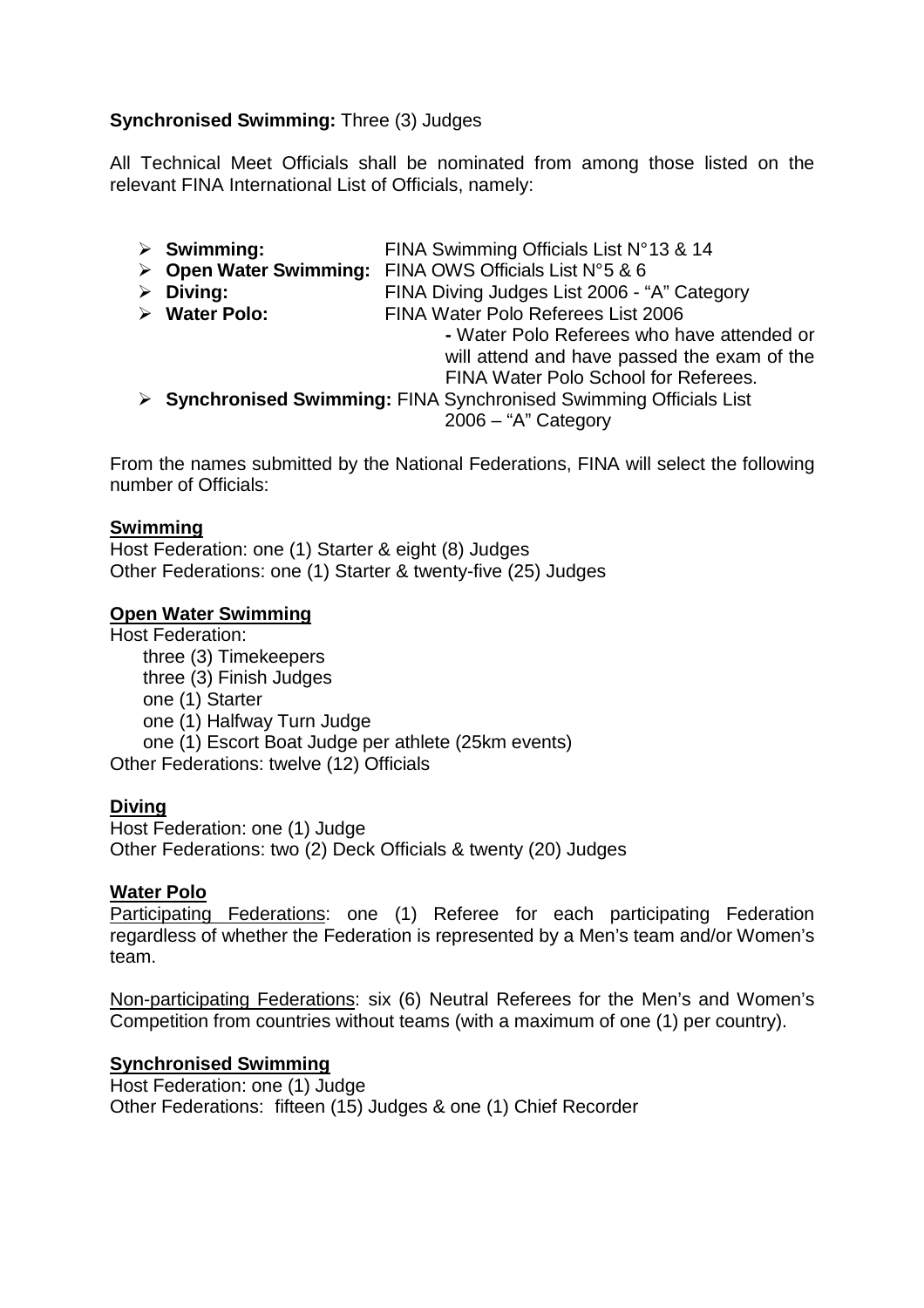# **Synchronised Swimming:** Three (3) Judges

All Technical Meet Officials shall be nominated from among those listed on the relevant FINA International List of Officials, namely:

- **Swimming:** FINA Swimming Officials List N° 13 & 14
- **Open Water Swimming:** FINA OWS Officials List N°5 & 6<br>1 FINA Diving Judges List 2006 "
	- **Diving:** FINA Diving Judges List 2006 "A" Category
	- **Water Polo:** FINA Water Polo Referees List 2006

**-** Water Polo Referees who have attended or will attend and have passed the exam of the FINA Water Polo School for Referees.

 **Synchronised Swimming:** FINA Synchronised Swimming Officials List 2006 – "A" Category

From the names submitted by the National Federations, FINA will select the following number of Officials:

# **Swimming**

Host Federation: one (1) Starter & eight (8) Judges Other Federations: one (1) Starter & twenty-five (25) Judges

# **Open Water Swimming**

Host Federation: three (3) Timekeepers three (3) Finish Judges one (1) Starter one (1) Halfway Turn Judge one (1) Escort Boat Judge per athlete (25km events) Other Federations: twelve (12) Officials

# **Diving**

Host Federation: one (1) Judge Other Federations: two (2) Deck Officials & twenty (20) Judges

# **Water Polo**

Participating Federations: one (1) Referee for each participating Federation regardless of whether the Federation is represented by a Men's team and/or Women's team.

Non-participating Federations: six (6) Neutral Referees for the Men's and Women's Competition from countries without teams (with a maximum of one (1) per country).

# **Synchronised Swimming**

Host Federation: one (1) Judge Other Federations: fifteen (15) Judges & one (1) Chief Recorder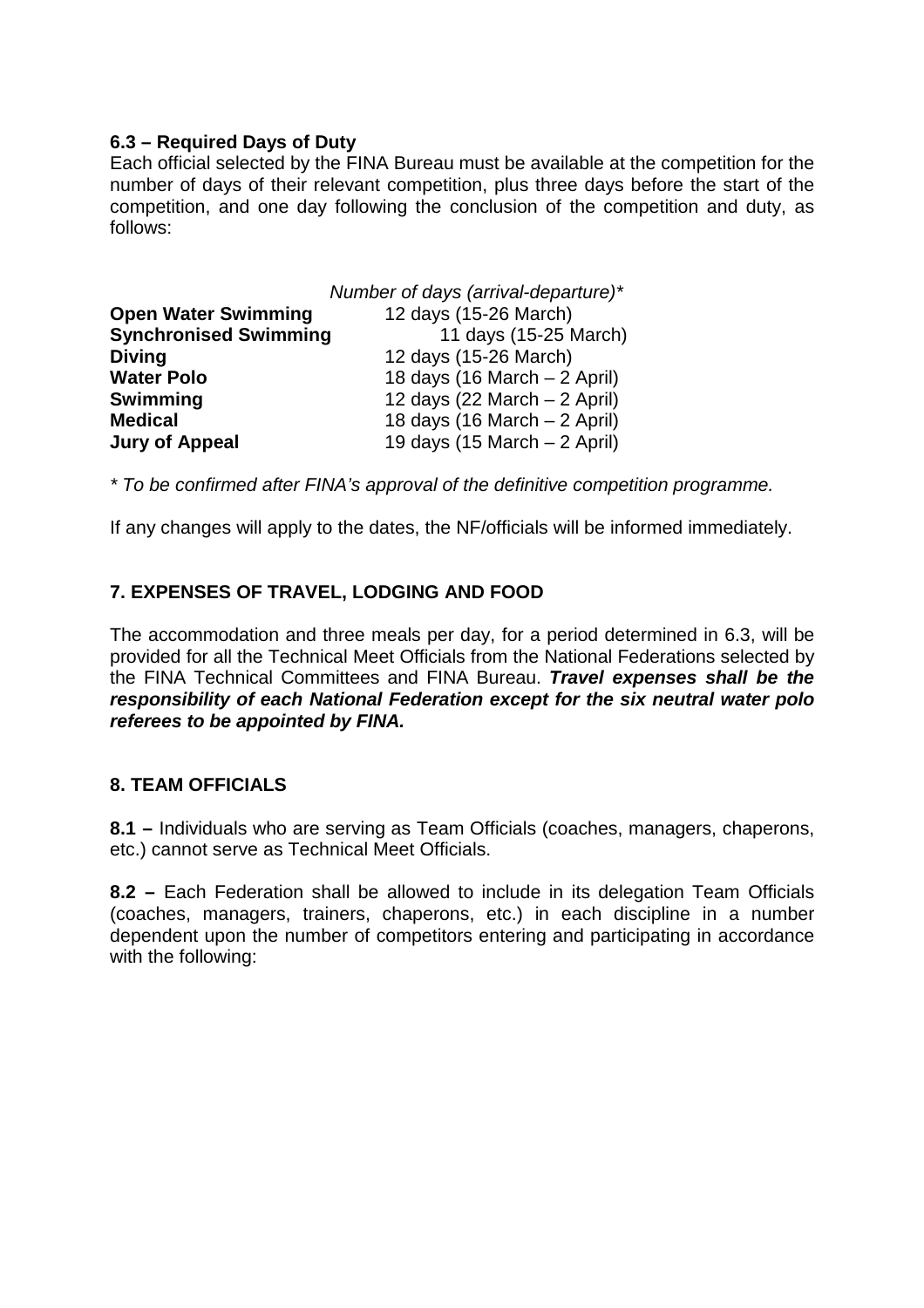# **6.3 – Required Days of Duty**

Each official selected by the FINA Bureau must be available at the competition for the number of days of their relevant competition, plus three days before the start of the competition, and one day following the conclusion of the competition and duty, as follows:

| Number of days (arrival-departure)* |                                                |
|-------------------------------------|------------------------------------------------|
| <b>Open Water Swimming</b>          | 12 days (15-26 March)                          |
| <b>Synchronised Swimming</b>        | 11 days (15-25 March)                          |
| <b>Diving</b>                       | 12 days (15-26 March)                          |
| <b>Water Polo</b>                   | 18 days (16 March - 2 April)                   |
| <b>Swimming</b>                     | 12 days (22 March $-$ 2 April)                 |
| <b>Medical</b>                      | 18 days (16 March $-2$ April)                  |
| <b>Jury of Appeal</b>               | 19 days $(15 \text{ March} - 2 \text{ April})$ |

\* To be confirmed after FINA's approval of the definitive competition programme.

If any changes will apply to the dates, the NF/officials will be informed immediately.

# **7. EXPENSES OF TRAVEL, LODGING AND FOOD**

The accommodation and three meals per day, for a period determined in 6.3, will be provided for all the Technical Meet Officials from the National Federations selected by the FINA Technical Committees and FINA Bureau. **Travel expenses shall be the responsibility of each National Federation except for the six neutral water polo referees to be appointed by FINA.**

# **8. TEAM OFFICIALS**

**8.1 –** Individuals who are serving as Team Officials (coaches, managers, chaperons, etc.) cannot serve as Technical Meet Officials.

**8.2 –** Each Federation shall be allowed to include in its delegation Team Officials (coaches, managers, trainers, chaperons, etc.) in each discipline in a number dependent upon the number of competitors entering and participating in accordance with the following: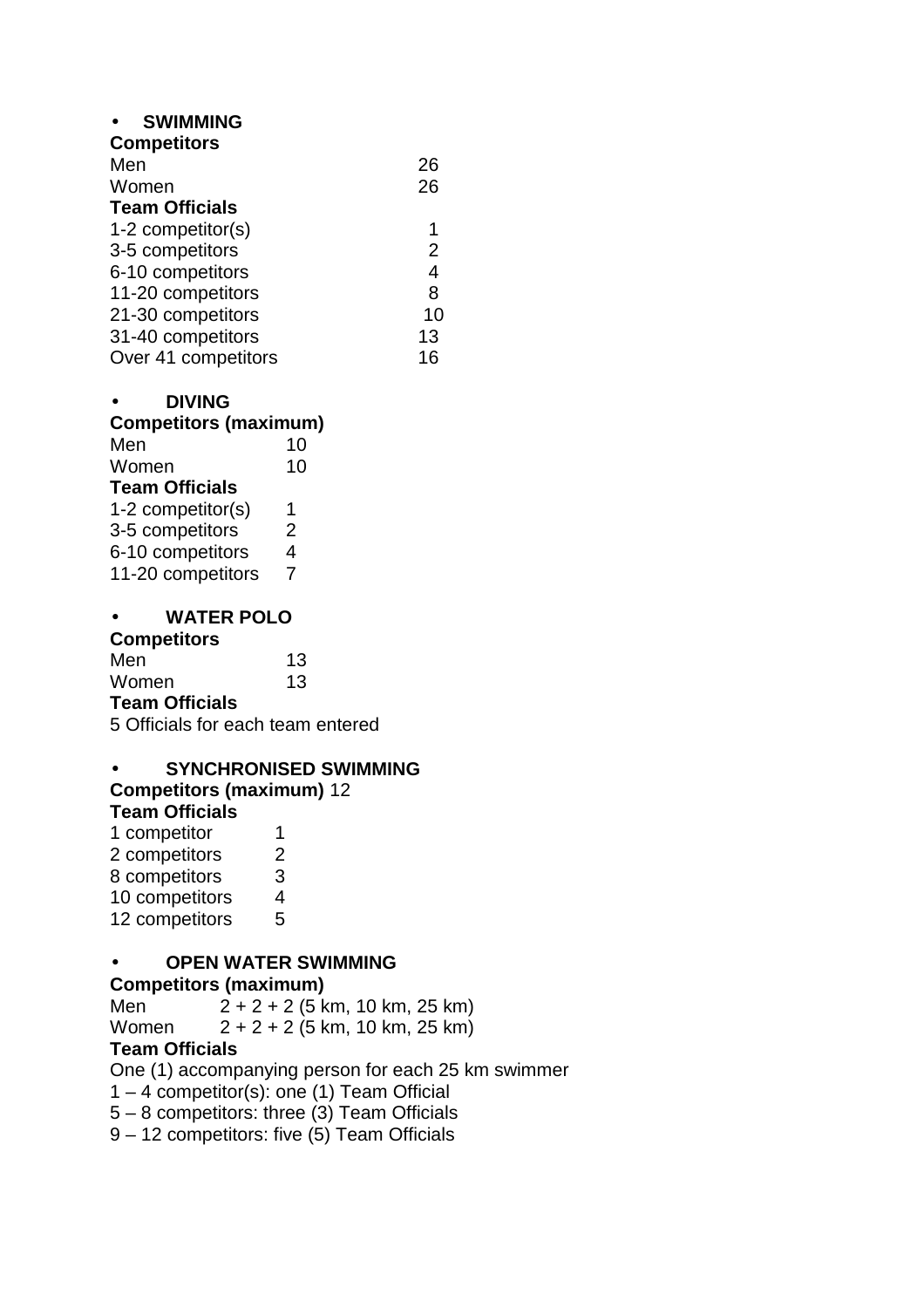# • **SWIMMING**

| <b>Competitors</b>    |    |
|-----------------------|----|
| Men                   | 26 |
| Women                 | 26 |
| <b>Team Officials</b> |    |
| 1-2 competitor(s)     |    |
| 3-5 competitors       | 2  |
| 6-10 competitors      | 4  |
| 11-20 competitors     | 8  |
| 21-30 competitors     | 10 |
| 31-40 competitors     | 13 |
| Over 41 competitors   | 16 |
|                       |    |

# • **DIVING**

**Competitors (maximum)** 

| Men                   | 10 |
|-----------------------|----|
| Women                 | 10 |
| <b>Team Officials</b> |    |
| 1-2 competitor(s)     | 1  |
| 3-5 competitors       | 2  |
| 6-10 competitors      | 4  |
| 11-20 competitors     | 7  |

# • **WATER POLO**

#### **Competitors**

| Men                   | 13 |
|-----------------------|----|
| Women                 | 13 |
| <b>Team Officials</b> |    |

5 Officials for each team entered

#### • **SYNCHRONISED SWIMMING Competitors (maximum)** 12 **Team Officials**

| 1 competitor   | 1 |
|----------------|---|
| 2 competitors  | 2 |
| 8 competitors  | 3 |
| 10 competitors | 4 |
| 12 competitors | 5 |

# • **OPEN WATER SWIMMING**

# **Competitors (maximum)**

| Men   | $2 + 2 + 2$ (5 km, 10 km, 25 km) |  |
|-------|----------------------------------|--|
| Women | $2 + 2 + 2$ (5 km, 10 km, 25 km) |  |

# **Team Officials**

One (1) accompanying person for each 25 km swimmer

1 – 4 competitor(s): one (1) Team Official

5 – 8 competitors: three (3) Team Officials

9 – 12 competitors: five (5) Team Officials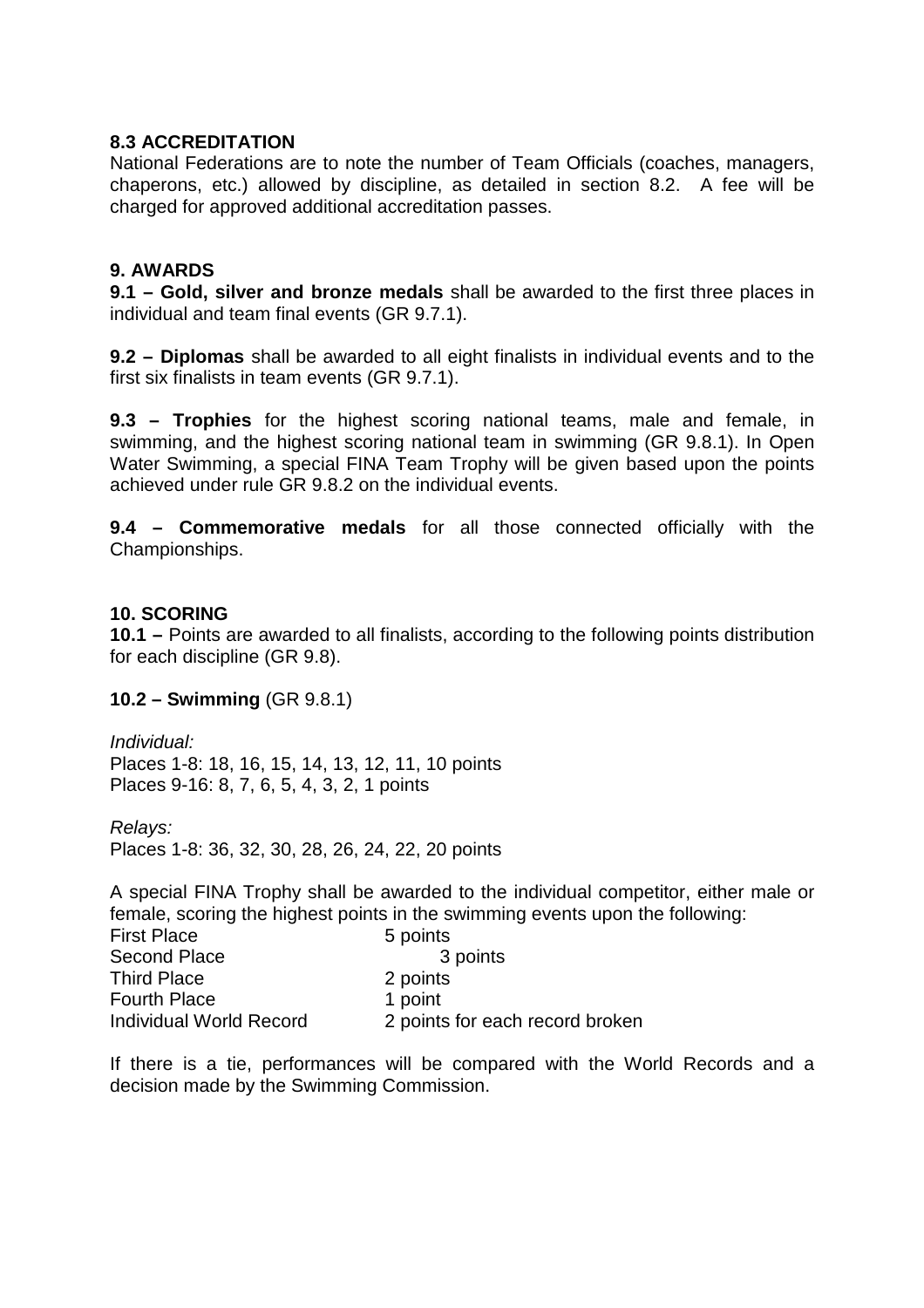# **8.3 ACCREDITATION**

National Federations are to note the number of Team Officials (coaches, managers, chaperons, etc.) allowed by discipline, as detailed in section 8.2. A fee will be charged for approved additional accreditation passes.

# **9. AWARDS**

**9.1 – Gold, silver and bronze medals** shall be awarded to the first three places in individual and team final events (GR 9.7.1).

**9.2 – Diplomas** shall be awarded to all eight finalists in individual events and to the first six finalists in team events (GR 9.7.1).

**9.3 – Trophies** for the highest scoring national teams, male and female, in swimming, and the highest scoring national team in swimming (GR 9.8.1). In Open Water Swimming, a special FINA Team Trophy will be given based upon the points achieved under rule GR 9.8.2 on the individual events.

**9.4 – Commemorative medals** for all those connected officially with the Championships.

# **10. SCORING**

**10.1 –** Points are awarded to all finalists, according to the following points distribution for each discipline (GR 9.8).

# **10.2 – Swimming** (GR 9.8.1)

Individual: Places 1-8: 18, 16, 15, 14, 13, 12, 11, 10 points Places 9-16: 8, 7, 6, 5, 4, 3, 2, 1 points

Relays:

Places 1-8: 36, 32, 30, 28, 26, 24, 22, 20 points

A special FINA Trophy shall be awarded to the individual competitor, either male or female, scoring the highest points in the swimming events upon the following:

| <b>First Place</b>      | 5 points                        |
|-------------------------|---------------------------------|
| Second Place            | 3 points                        |
| <b>Third Place</b>      | 2 points                        |
| <b>Fourth Place</b>     | 1 point                         |
| Individual World Record | 2 points for each record broken |

If there is a tie, performances will be compared with the World Records and a decision made by the Swimming Commission.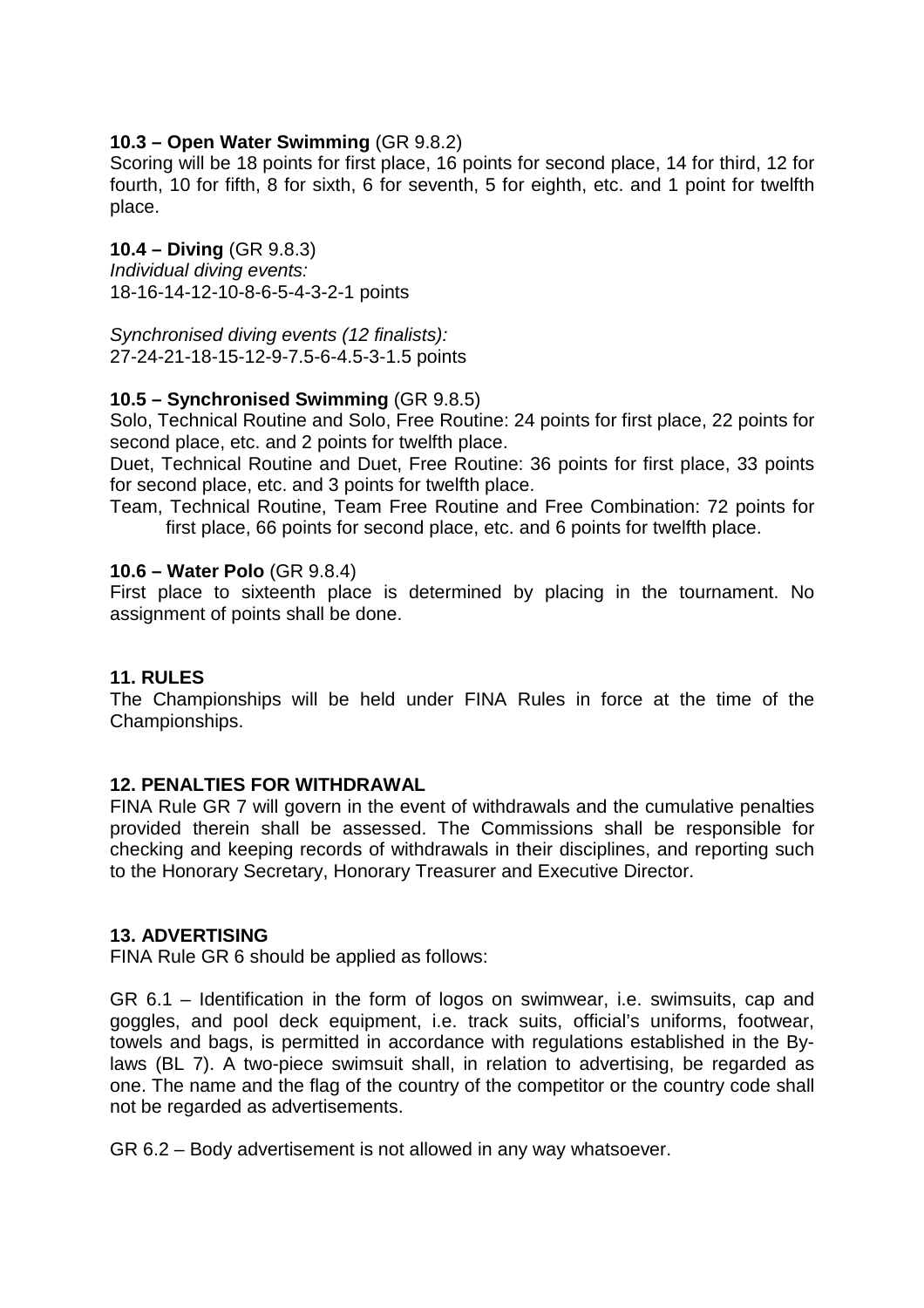# **10.3 – Open Water Swimming** (GR 9.8.2)

Scoring will be 18 points for first place, 16 points for second place, 14 for third, 12 for fourth, 10 for fifth, 8 for sixth, 6 for seventh, 5 for eighth, etc. and 1 point for twelfth place.

# **10.4 – Diving** (GR 9.8.3)

Individual diving events: 18-16-14-12-10-8-6-5-4-3-2-1 points

Synchronised diving events (12 finalists): 27-24-21-18-15-12-9-7.5-6-4.5-3-1.5 points

# **10.5 – Synchronised Swimming** (GR 9.8.5)

Solo, Technical Routine and Solo, Free Routine: 24 points for first place, 22 points for second place, etc. and 2 points for twelfth place.

Duet, Technical Routine and Duet, Free Routine: 36 points for first place, 33 points for second place, etc. and 3 points for twelfth place.

Team, Technical Routine, Team Free Routine and Free Combination: 72 points for first place, 66 points for second place, etc. and 6 points for twelfth place.

# **10.6 – Water Polo** (GR 9.8.4)

First place to sixteenth place is determined by placing in the tournament. No assignment of points shall be done.

# **11. RULES**

The Championships will be held under FINA Rules in force at the time of the Championships.

# **12. PENALTIES FOR WITHDRAWAL**

FINA Rule GR 7 will govern in the event of withdrawals and the cumulative penalties provided therein shall be assessed. The Commissions shall be responsible for checking and keeping records of withdrawals in their disciplines, and reporting such to the Honorary Secretary, Honorary Treasurer and Executive Director.

# **13. ADVERTISING**

FINA Rule GR 6 should be applied as follows:

GR 6.1 – Identification in the form of logos on swimwear, i.e. swimsuits, cap and goggles, and pool deck equipment, i.e. track suits, official's uniforms, footwear, towels and bags, is permitted in accordance with regulations established in the Bylaws (BL 7). A two-piece swimsuit shall, in relation to advertising, be regarded as one. The name and the flag of the country of the competitor or the country code shall not be regarded as advertisements.

GR 6.2 – Body advertisement is not allowed in any way whatsoever.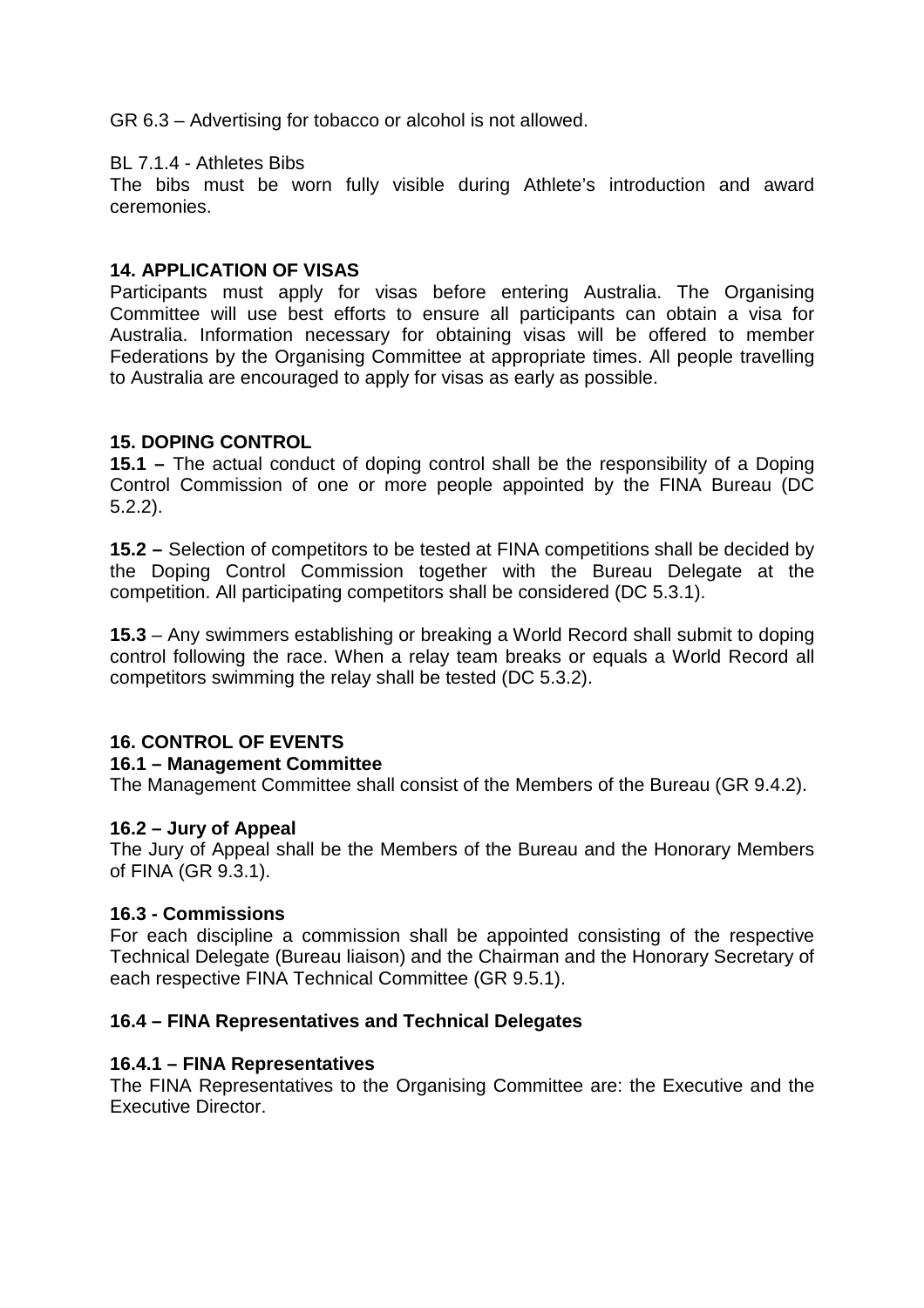GR 6.3 – Advertising for tobacco or alcohol is not allowed.

#### BL 7.1.4 - Athletes Bibs

The bibs must be worn fully visible during Athlete's introduction and award ceremonies.

### **14. APPLICATION OF VISAS**

Participants must apply for visas before entering Australia. The Organising Committee will use best efforts to ensure all participants can obtain a visa for Australia. Information necessary for obtaining visas will be offered to member Federations by the Organising Committee at appropriate times. All people travelling to Australia are encouraged to apply for visas as early as possible.

#### **15. DOPING CONTROL**

**15.1 –** The actual conduct of doping control shall be the responsibility of a Doping Control Commission of one or more people appointed by the FINA Bureau (DC 5.2.2).

**15.2 –** Selection of competitors to be tested at FINA competitions shall be decided by the Doping Control Commission together with the Bureau Delegate at the competition. All participating competitors shall be considered (DC 5.3.1).

**15.3** – Any swimmers establishing or breaking a World Record shall submit to doping control following the race. When a relay team breaks or equals a World Record all competitors swimming the relay shall be tested (DC 5.3.2).

# **16. CONTROL OF EVENTS**

#### **16.1 – Management Committee**

The Management Committee shall consist of the Members of the Bureau (GR 9.4.2).

#### **16.2 – Jury of Appeal**

The Jury of Appeal shall be the Members of the Bureau and the Honorary Members of FINA (GR 9.3.1).

#### **16.3 - Commissions**

For each discipline a commission shall be appointed consisting of the respective Technical Delegate (Bureau liaison) and the Chairman and the Honorary Secretary of each respective FINA Technical Committee (GR 9.5.1).

#### **16.4 – FINA Representatives and Technical Delegates**

#### **16.4.1 – FINA Representatives**

The FINA Representatives to the Organising Committee are: the Executive and the Executive Director.